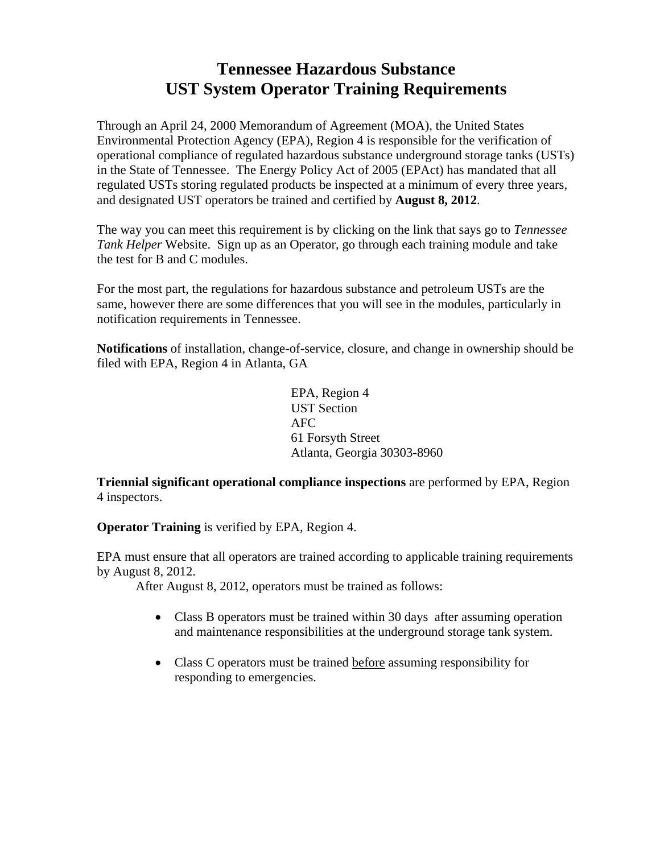# **Tennessee Hazardous Substance UST System Operator Training Requirements**

Through an April 24, 2000 Memorandum of Agreement (MOA), the United States Environmental Protection Agency (EPA), Region 4 is responsible for the verification of operational compliance of regulated hazardous substance underground storage tanks (USTs) in the State of Tennessee. The Energy Policy Act of 2005 (EPAct) has mandated that all regulated USTs storing regulated products be inspected at a minimum of every three years, and designated UST operators be trained and certified by **August 8, 2012**.

The way you can meet this requirement is by clicking on the link that says go to *Tennessee Tank Helper* Website. Sign up as an Operator, go through each training module and take the test for B and C modules.

For the most part, the regulations for hazardous substance and petroleum USTs are the same, however there are some differences that you will see in the modules, particularly in notification requirements in Tennessee.

**Notifications** of installation, change-of-service, closure, and change in ownership should be filed with EPA, Region 4 in Atlanta, GA

> EPA, Region 4 UST Section AFC 61 Forsyth Street Atlanta, Georgia 30303-8960

**Triennial significant operational compliance inspections** are performed by EPA, Region 4 inspectors.

**Operator Training** is verified by EPA, Region 4.

EPA must ensure that all operators are trained according to applicable training requirements by August 8, 2012.

After August 8, 2012, operators must be trained as follows:

- Class B operators must be trained within 30 days after assuming operation and maintenance responsibilities at the underground storage tank system.
- Class C operators must be trained before assuming responsibility for responding to emergencies.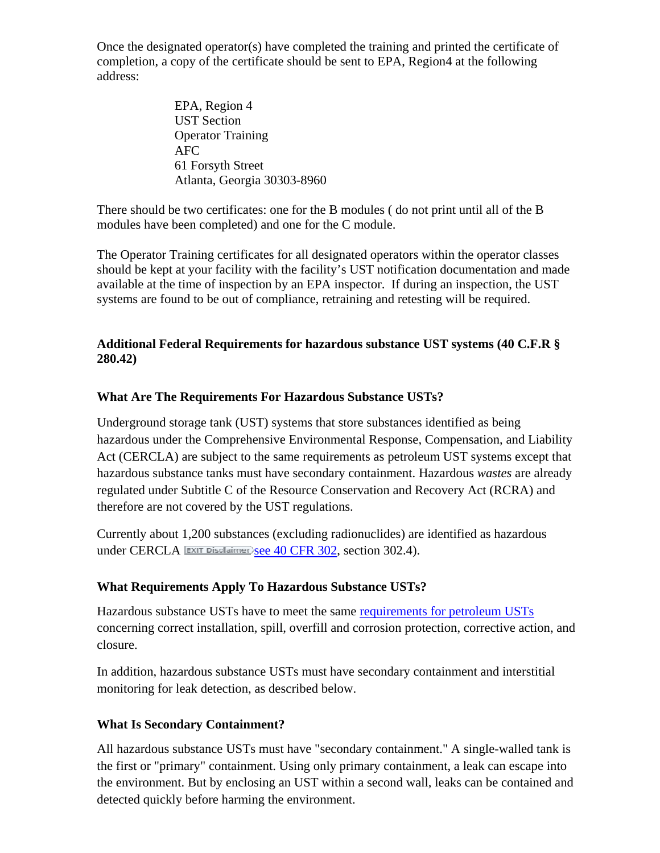Once the designated operator(s) have completed the training and printed the certificate of completion, a copy of the certificate should be sent to EPA, Region4 at the following address:

> EPA, Region 4 UST Section Operator Training AFC 61 Forsyth Street Atlanta, Georgia 30303-8960

There should be two certificates: one for the B modules ( do not print until all of the B modules have been completed) and one for the C module.

The Operator Training certificates for all designated operators within the operator classes should be kept at your facility with the facility's UST notification documentation and made available at the time of inspection by an EPA inspector. If during an inspection, the UST systems are found to be out of compliance, retraining and retesting will be required.

## **Additional Federal Requirements for hazardous substance UST systems (40 C.F.R § 280.42)**

## **What Are The Requirements For Hazardous Substance USTs?**

Underground storage tank (UST) systems that store substances identified as being hazardous under the Comprehensive Environmental Response, Compensation, and Liability Act (CERCLA) are subject to the same requirements as petroleum UST systems except that hazardous substance tanks must have secondary containment. Hazardous *wastes* are already regulated under Subtitle C of the Resource Conservation and Recovery Act (RCRA) and therefore are not covered by the UST regulations.

Currently about 1,200 substances (excluding radionuclides) are identified as hazardous under CERCLA EXIT Disclaimer>see 40 CFR 302, section 302.4).

## **What Requirements Apply To Hazardous Substance USTs?**

Hazardous substance USTs have to meet the same requirements for petroleum USTs concerning correct installation, spill, overfill and corrosion protection, corrective action, and closure.

In addition, hazardous substance USTs must have secondary containment and interstitial monitoring for leak detection, as described below.

## **What Is Secondary Containment?**

All hazardous substance USTs must have "secondary containment." A single-walled tank is the first or "primary" containment. Using only primary containment, a leak can escape into the environment. But by enclosing an UST within a second wall, leaks can be contained and detected quickly before harming the environment.